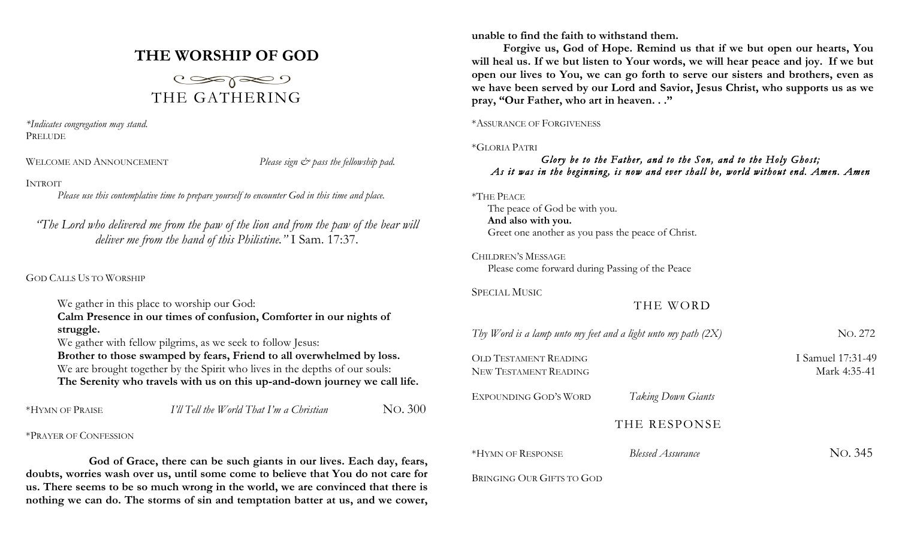# **THE WORSHIP OF GOD**



*\*Indicates congregation may stand.* PRELUDE

WELCOME AND ANNOUNCEMENT *Please sign*  $\breve{c}$  *pass the fellowship pad.* 

### INTROIT

*Please use this contemplative time to prepare yourself to encounter God in this time and place.*

*"The Lord who delivered me from the paw of the lion and from the paw of the bear will deliver me from the hand of this Philistine."* I Sam. 17:37.

### GOD CALLS US TO WORSHIP

| We gather in this place to worship our God:                                 |
|-----------------------------------------------------------------------------|
| Calm Presence in our times of confusion, Comforter in our nights of         |
| struggle.                                                                   |
| We gather with fellow pilgrims, as we seek to follow Jesus:                 |
| Brother to those swamped by fears, Friend to all overwhelmed by loss.       |
| We are brought together by the Spirit who lives in the depths of our souls: |
| The Serenity who travels with us on this up-and-down journey we call life.  |
|                                                                             |

| No. 300<br>I'll Tell the World That I'm a Christian<br>*HYMN OF PRAISE |
|------------------------------------------------------------------------|
|------------------------------------------------------------------------|

\*PRAYER OF CONFESSION

**God of Grace, there can be such giants in our lives. Each day, fears, doubts, worries wash over us, until some come to believe that You do not care for us. There seems to be so much wrong in the world, we are convinced that there is nothing we can do. The storms of sin and temptation batter at us, and we cower,** 

**unable to find the faith to withstand them.**

**Forgive us, God of Hope. Remind us that if we but open our hearts, You will heal us. If we but listen to Your words, we will hear peace and joy. If we but open our lives to You, we can go forth to serve our sisters and brothers, even as we have been served by our Lord and Savior, Jesus Christ, who supports us as we pray, "Our Father, who art in heaven. . ."**

### \*ASSURANCE OF FORGIVENESS

### \*GLORIA PATRI

## *Glory be to the Father, and to the Son, and to the Holy Ghost; As it was in the beginning, is now and ever shall be, world without end. Amen. Amen*

| *THE PEACE |
|------------|
|------------|

The peace of God be with you. **And also with you.** Greet one another as you pass the peace of Christ.

CHILDREN'S MESSAGE Please come forward during Passing of the Peace

SPECIAL MUSIC

# THE WORD

| Thy Word is a lamp unto my feet and a light unto my path $(2X)$ | No. 272                           |         |
|-----------------------------------------------------------------|-----------------------------------|---------|
| <b>OLD TESTAMENT READING</b><br><b>NEW TESTAMENT READING</b>    | I Samuel 17:31-49<br>Mark 4:35-41 |         |
| EXPOUNDING GOD'S WORD                                           | <b>Taking Down Giants</b>         |         |
|                                                                 | THE RESPONSE                      |         |
| *HYMN OF RESPONSE                                               | Blessed Assurance                 | No. 345 |
| BRINGING OUR GIFTS TO GOD                                       |                                   |         |